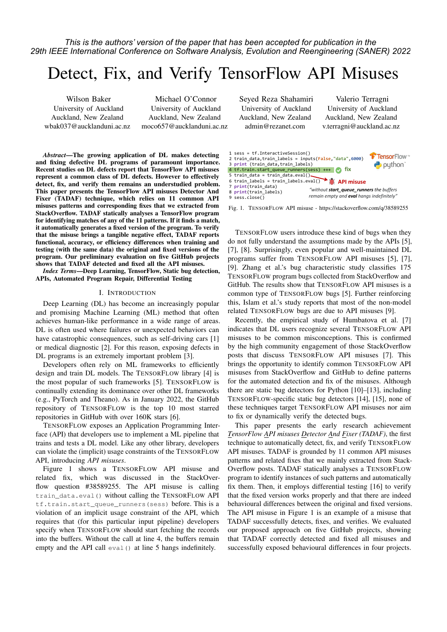*This is the authors' version of the paper that has been accepted for publication in the 29th IEEE International Conference on Software Analysis, Evolution and Reengineering (SANER) 2022*

# Detect, Fix, and Verify TensorFlow API Misuses

Wilson Baker University of Auckland Auckland, New Zealand wbak037@aucklanduni.ac.nz

Michael O'Connor University of Auckland Auckland, New Zealand moco657@aucklanduni.ac.nz

*Abstract*—The growing application of DL makes detecting and fixing defective DL programs of paramount importance. Recent studies on DL defects report that TensorFlow API misuses represent a common class of DL defects. However to effectively detect, fix, and verify them remains an understudied problem. This paper presents the TensorFlow API misuses Detector And Fixer (TADAF) technique, which relies on 11 common API misuses patterns and corresponding fixes that we extracted from StackOverflow. TADAF statically analyses a TensorFlow program for identifying matches of any of the 11 patterns. If it finds a match, it automatically generates a fixed version of the program. To verify that the misuse brings a tangible negative effect, TADAF reports functional, accuracy, or efficiency differences when training and testing (with the same data) the original and fixed versions of the program. Our preliminary evaluation on five GitHub projects shows that TADAF detected and fixed all the API misuses.

*Index Terms*—Deep Learning, TensorFlow, Static bug detection, APIs, Automated Program Repair, Differential Testing

### I. INTRODUCTION

Deep Learning (DL) has become an increasingly popular and promising Machine Learning (ML) method that often achieves human-like performance in a wide range of areas. DL is often used where failures or unexpected behaviors can have catastrophic consequences, such as self-driving cars [1] or medical diagnostic [2]. For this reason, exposing defects in DL programs is an extremely important problem [3].

Developers often rely on ML frameworks to efficiently design and train DL models. The TENSORFLOW library [4] is the most popular of such frameworks [5]. TENSORFLOW is continually extending its dominance over other DL frameworks (e.g., PyTorch and Theano). As in January 2022, the GitHub repository of TENSORFLOW is the top 10 most starred repositories in GitHub with over 160K stars [6].

TENSORFLOW exposes an Application Programming Interface (API) that developers use to implement a ML pipeline that trains and tests a DL model. Like any other library, developers can violate the (implicit) usage constraints of the TENSORFLOW API, introducing *API misuses*.

Figure 1 shows a TENSORFLOW API misuse and related fix, which was discussed in the StackOverflow question #38589255. The API misuse is calling train\_data.eval() without calling the TENSORFLOW API tf.train.start\_queue\_runners(sess) before. This is a violation of an implicit usage constraint of the API, which requires that (for this particular input pipeline) developers specify when TENSORFLOW should start fetching the records into the buffers. Without the call at line 4, the buffers remain empty and the API call eval() at line 5 hangs indefinitely.

Seyed Reza Shahamiri University of Auckland Auckland, New Zealand admin@rezanet.com

Valerio Terragni University of Auckland Auckland, New Zealand v.terragni@auckland.ac.nz



Fig. 1. TENSORFLOW API misuse - https://stackoverflow.com/q/38589255

TENSORFLOW users introduce these kind of bugs when they do not fully understand the assumptions made by the APIs [5], [7], [8]. Surprisingly, even popular and well-maintained DL programs suffer from TENSORFLOW API misuses [5], [7], [9]. Zhang et al.'s bug characteristic study classifies 175 TENSORFLOW program bugs collected from StackOverflow and GitHub. The results show that TENSORFLOW API misuses is a common type of TENSORFLOW bugs [5]. Further reinforcing this, Islam et al.'s study reports that most of the non-model related TENSORFLOW bugs are due to API misuses [9].

Recently, the empirical study of Humbatova et al. [7] indicates that DL users recognize several TENSORFLOW API misuses to be common misconceptions. This is confirmed by the high community engagement of those StackOverflow posts that discuss TENSORFLOW API misuses [7]. This brings the opportunity to identify common TENSORFLOW API misuses from StackOverflow and GitHub to define patterns for the automated detection and fix of the misuses. Although there are static bug detectors for Python [10]–[13], including TENSORFLOW-specific static bug detectors [14], [15], none of these techniques target TENSORFLOW API misuses nor aim to fix or dynamically verify the detected bugs.

This paper presents the early research achievement *TensorFlow API misuses Detector And Fixer (TADAF)*, the first technique to automatically detect, fix, and verify TENSORFLOW API misuses. TADAF is grounded by 11 common API misuses patterns and related fixes that we mainly extracted from Stack-Overflow posts. TADAF statically analyses a TENSORFLOW program to identify instances of such patterns and automatically fix them. Then, it employs differential testing [16] to verify that the fixed version works properly and that there are indeed behavioural differences between the original and fixed versions. The API misuse in Figure 1 is an example of a misuse that TADAF successfully detects, fixes, and verifies. We evaluated our proposed approach on five GitHub projects, showing that TADAF correctly detected and fixed all misuses and successfully exposed behavioural differences in four projects.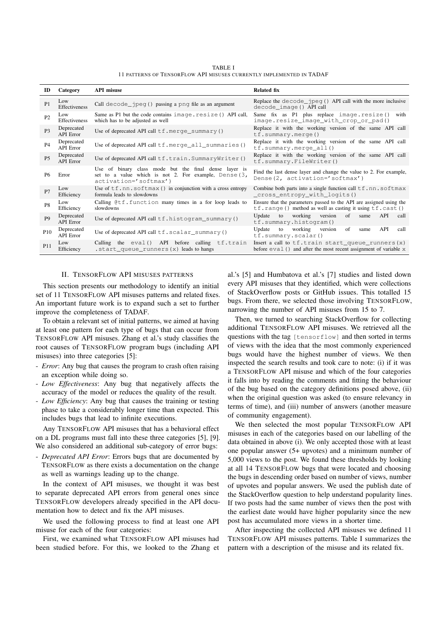|                                                                      | <b>TABLE I</b> |  |  |
|----------------------------------------------------------------------|----------------|--|--|
| 11 PATTERNS OF TENSORFLOW API MISUSES CURRENTLY IMPLEMENTED IN TADAF |                |  |  |

| ID              | Category                       | <b>API</b> misuse                                                                                                                            | <b>Related fix</b>                                                                                                                  |  |  |  |  |
|-----------------|--------------------------------|----------------------------------------------------------------------------------------------------------------------------------------------|-------------------------------------------------------------------------------------------------------------------------------------|--|--|--|--|
| P1              | Low<br>Effectiveness           | Call decode $\lnot$ peq () passing a pnq file as an argument                                                                                 | Replace the $decode$ peq $()$ API call with the more inclusive<br>decode_image() API call                                           |  |  |  |  |
| P <sub>2</sub>  | Low<br><b>Effectiveness</b>    | Same as P1 but the code contains image.resize() API call,<br>which has to be adjusted as well                                                | Same fix as $P1$ plus replace image.resize()<br>with<br>image.resize_image_with_crop_or_pad()                                       |  |  |  |  |
| P <sub>3</sub>  | Deprecated<br><b>API</b> Error | Use of deprecated API call $tf.merge\_summary()$                                                                                             | Replace it with the working version of the same API call<br>tf.summary.merge()                                                      |  |  |  |  |
| <b>P4</b>       | Deprecated<br><b>API</b> Error | Use of deprecated API call $tf.$ merge_all_summaries()                                                                                       | Replace it with the working version of the same API call<br>$tf.summary.merge_all()$                                                |  |  |  |  |
| <b>P5</b>       | Deprecated<br><b>API</b> Error | Use of deprecated API call tf.train.SummaryWriter()                                                                                          | Replace it with the working version of the same API call<br>tf.summary.FileWriter()                                                 |  |  |  |  |
| <b>P6</b>       | Error                          | Use of binary class mode but the final dense layer is<br>set to a value which is not 2. For example, Dense $(3, 3)$<br>activation='softmax') | Find the last dense layer and change the value to 2. For example,<br>Dense(2, activation='softmax')                                 |  |  |  |  |
| P7              | Low<br>Efficiency              | Use of $tf$ .nn.softmax() in conjunction with a cross entropy<br>formula leads to slowdowns                                                  | Combine both parts into a single function call $tf$ .nn.softmax<br>_cross_entropy_with_logits()                                     |  |  |  |  |
| P <sub>8</sub>  | Low<br>Efficiency              | Calling @tf.function many times in a for loop leads to<br>slowdowns                                                                          | Ensure that the parameters passed to the API are assigned using the<br>$tf.random()$ method as well as casting it using $tf.cast()$ |  |  |  |  |
| P <sub>9</sub>  | Deprecated<br><b>API</b> Error | Use of deprecated API call tf.histogram_summary()                                                                                            | working version<br>of<br>to<br>API<br>Update<br>same<br>call<br>tf.summary.histogram()                                              |  |  |  |  |
| P <sub>10</sub> | Deprecated<br><b>API Error</b> | Use of deprecated API call $tf.scalar\_summary()$                                                                                            | to working version<br>Update<br>of<br>API<br>same<br>call<br>tf.summary.scalar()                                                    |  |  |  |  |
| P <sub>11</sub> | Low<br>Efficiency              | Calling the eval() API before calling tf.train<br>.start_queue_runners(x) leads to hangs                                                     | Insert a call to $tf.train start_value_runners(x)$<br>before $eval()$ and after the most recent assignment of variable $x$          |  |  |  |  |

## II. TENSORFLOW API MISUSES PATTERNS

This section presents our methodology to identify an initial set of 11 TENSORFLOW API misuses patterns and related fixes. An important future work is to expand such a set to further improve the completeness of TADAF.

To obtain a relevant set of initial patterns, we aimed at having at least one pattern for each type of bugs that can occur from TENSORFLOW API misuses. Zhang et al.'s study classifies the root causes of TENSORFLOW program bugs (including API misuses) into three categories [5]:

- *Error*: Any bug that causes the program to crash often raising an exception while doing so.
- *Low Effectiveness*: Any bug that negatively affects the accuracy of the model or reduces the quality of the result.
- *Low Efficiency*: Any bug that causes the training or testing phase to take a considerably longer time than expected. This includes bugs that lead to infinite executions.

Any TENSORFLOW API misuses that has a behavioral effect on a DL programs must fall into these three categories [5], [9]. We also considered an additional sub-category of error bugs:

- *Deprecated API Error*: Errors bugs that are documented by TENSORFLOW as there exists a documentation on the change as well as warnings leading up to the change.

In the context of API misuses, we thought it was best to separate deprecated API errors from general ones since TENSORFLOW developers already specified in the API documentation how to detect and fix the API misuses.

We used the following process to find at least one API misuse for each of the four categories:

First, we examined what TENSORFLOW API misuses had been studied before. For this, we looked to the Zhang et

al.'s [5] and Humbatova et al.'s [7] studies and listed down every API misuses that they identified, which were collections of StackOverflow posts or GitHub issues. This totalled 15 bugs. From there, we selected those involving TENSORFLOW, narrowing the number of API misuses from 15 to 7.

Then, we turned to searching StackOverflow for collecting additional TENSORFLOW API misuses. We retrieved all the questions with the tag [tensorflow] and then sorted in terms of views with the idea that the most commonly experienced bugs would have the highest number of views. We then inspected the search results and took care to note: (i) if it was a TENSORFLOW API misuse and which of the four categories it falls into by reading the comments and fitting the behaviour of the bug based on the category definitions posed above, (ii) when the original question was asked (to ensure relevancy in terms of time), and (iii) number of answers (another measure of community engagement).

We then selected the most popular TENSORFLOW API misuses in each of the categories based on our labelling of the data obtained in above (i). We only accepted those with at least one popular answer (5+ upvotes) and a minimum number of 5,000 views to the post. We found these thresholds by looking at all 14 TENSORFLOW bugs that were located and choosing the bugs in descending order based on number of views, number of upvotes and popular answers. We used the publish date of the StackOverflow question to help understand popularity lines. If two posts had the same number of views then the post with the earliest date would have higher popularity since the new post has accumulated more views in a shorter time.

After inspecting the collected API misuses we defined 11 TENSORFLOW API misuses patterns. Table I summarizes the pattern with a description of the misuse and its related fix.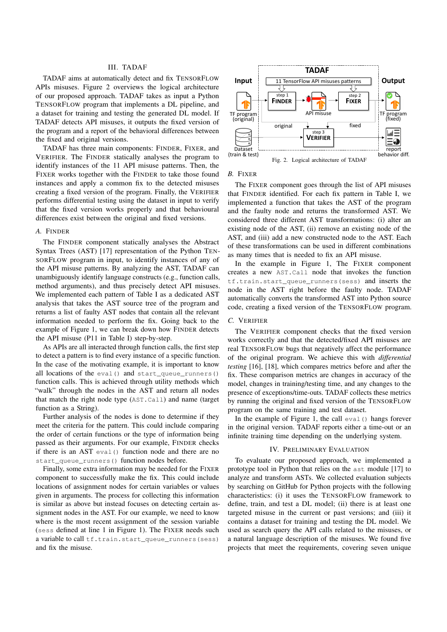## III. TADAF

TADAF aims at automatically detect and fix TENSORFLOW APIs misuses. Figure 2 overviews the logical architecture of our proposed approach. TADAF takes as input a Python TENSORFLOW program that implements a DL pipeline, and a dataset for training and testing the generated DL model. If TADAF detects API misuses, it outputs the fixed version of the program and a report of the behavioral differences between the fixed and original versions.

TADAF has three main components: FINDER, FIXER, and VERIFIER. The FINDER statically analyses the program to identify instances of the 11 API misuse patterns. Then, the FIXER works together with the FINDER to take those found instances and apply a common fix to the detected misuses creating a fixed version of the program. Finally, the VERIFIER performs differential testing using the dataset in input to verify that the fixed version works properly and that behavioural differences exist between the original and fixed versions.

#### *A.* FINDER

The FINDER component statically analyses the Abstract Syntax Trees (AST) [17] representation of the Python TEN-SORFLOW program in input, to identify instances of any of the API misuse patterns. By analyzing the AST, TADAF can unambiguously identify language constructs (e.g., function calls, method arguments), and thus precisely detect API misuses. We implemented each pattern of Table I as a dedicated AST analysis that takes the AST source tree of the program and returns a list of faulty AST nodes that contain all the relevant information needed to perform the fix. Going back to the example of Figure 1, we can break down how FINDER detects the API misuse (P11 in Table I) step-by-step.

As APIs are all interacted through function calls, the first step to detect a pattern is to find every instance of a specific function. In the case of the motivating example, it is important to know all locations of the eval() and start\_queue\_runners() function calls. This is achieved through utility methods which "walk" through the nodes in the AST and return all nodes that match the right node type (AST.Call) and name (target function as a String).

Further analysis of the nodes is done to determine if they meet the criteria for the pattern. This could include comparing the order of certain functions or the type of information being passed as their arguments. For our example, FINDER checks if there is an AST eval() function node and there are no start\_queue\_runners() function nodes before.

Finally, some extra information may be needed for the FIXER component to successfully make the fix. This could include locations of assignment nodes for certain variables or values given in arguments. The process for collecting this information is similar as above but instead focuses on detecting certain assignment nodes in the AST. For our example, we need to know where is the most recent assignment of the session variable (sess defined at line 1 in Figure 1). The FIXER needs such a variable to call tf.train.start\_queue\_runners(sess) and fix the misuse.



#### *B.* FIXER

The FIXER component goes through the list of API misuses that FINDER identified. For each fix pattern in Table I, we implemented a function that takes the AST of the program and the faulty node and returns the transformed AST. We considered three different AST transformations: (i) alter an existing node of the AST, (ii) remove an existing node of the AST, and (iii) add a new constructed node to the AST. Each of these transformations can be used in different combinations as many times that is needed to fix an API misuse.

In the example in Figure 1, The FIXER component creates a new AST.Call node that invokes the function tf.train.start\_queue\_runners(sess) and inserts the node in the AST right before the faulty node. TADAF automatically converts the transformed AST into Python source code, creating a fixed version of the TENSORFLOW program.

#### *C.* VERIFIER

The VERIFIER component checks that the fixed version works correctly and that the detected/fixed API misuses are real TENSORFLOW bugs that negatively affect the performance of the original program. We achieve this with *differential testing* [16], [18], which compares metrics before and after the fix. These comparison metrics are changes in accuracy of the model, changes in training/testing time, and any changes to the presence of exceptions/time-outs. TADAF collects these metrics by running the original and fixed version of the TENSORFLOW program on the same training and test dataset.

In the example of Figure 1, the call eval() hangs forever in the original version. TADAF reports either a time-out or an infinite training time depending on the underlying system.

## IV. PRELIMINARY EVALUATION

To evaluate our proposed approach, we implemented a prototype tool in Python that relies on the ast module [17] to analyze and transform ASTs. We collected evaluation subjects by searching on GitHub for Python projects with the following characteristics: (i) it uses the TENSORFLOW framework to define, train, and test a DL model; (ii) there is at least one targeted misuse in the current or past versions; and (iii) it contains a dataset for training and testing the DL model. We used as search query the API calls related to the misuses, or a natural language description of the misuses. We found five projects that meet the requirements, covering seven unique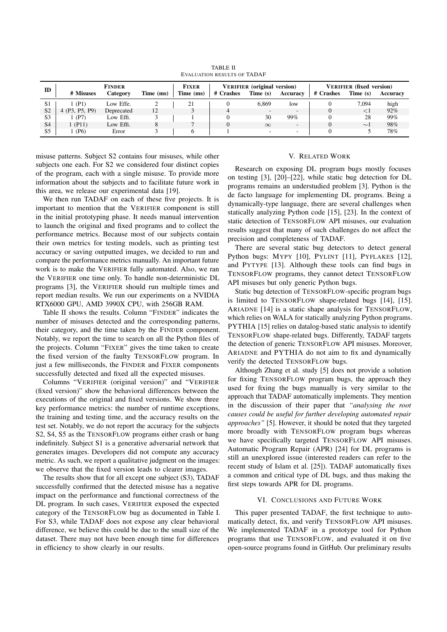TABLE II EVALUATION RESULTS OF TADAF

| ID             | <b>FINDER</b>     |            | <b>FIXER</b> | <b>VERIFIER</b> (original version) |           | <b>VERIFIER</b> (fixed version) |                          |           |          |          |
|----------------|-------------------|------------|--------------|------------------------------------|-----------|---------------------------------|--------------------------|-----------|----------|----------|
|                | # Misuses         | Category   | Time (ms)    | Time (ms)                          | # Crashes | Time (s)                        | Accuracy                 | # Crashes | Time (s) | Accuracy |
| S <sub>1</sub> | (P1)              | Low Effe.  |              | 21                                 |           | 6.869                           | low                      |           | 7.094    | high     |
| S <sub>2</sub> | (P3, P5, P9)      | Deprecated | 12           |                                    |           |                                 | $\sim$                   |           | $\leq$ 1 | $92\%$   |
| S <sub>3</sub> | (P7)              | Low Effi.  |              |                                    |           | 30                              | 99%                      |           | 28       | 99%      |
| S <sub>4</sub> | (P11)             | Low Effi.  |              |                                    |           | $\infty$                        | $\overline{\phantom{a}}$ |           | $\sim$ 1 | 98%      |
| S <sub>5</sub> | (P <sub>6</sub> ) | Error      |              |                                    |           | ٠.                              | $\overline{\phantom{a}}$ |           |          | 78%      |

misuse patterns. Subject S2 contains four misuses, while other subjects one each. For S2 we considered four distinct copies of the program, each with a single misuse. To provide more information about the subjects and to facilitate future work in this area, we release our experimental data [19].

We then run TADAF on each of these five projects. It is important to mention that the VERIFIER component is still in the initial prototyping phase. It needs manual intervention to launch the original and fixed programs and to collect the performance metrics. Because most of our subjects contain their own metrics for testing models, such as printing test accuracy or saving outputted images, we decided to run and compare the performance metrics manually. An important future work is to make the VERIFIER fully automated. Also, we ran the VERIFIER one time only. To handle non-deterministic DL programs [3], the VERIFIER should run multiple times and report median results. We run our experiments on a NVIDIA RTX6000 GPU, AMD 3990X CPU, with 256GB RAM.

Table II shows the results. Column "FINDER" indicates the number of misuses detected and the corresponding patterns, their category, and the time taken by the FINDER component. Notably, we report the time to search on all the Python files of the projects. Column "FIXER" gives the time taken to create the fixed version of the faulty TENSORFLOW program. In just a few milliseconds, the FINDER and FIXER components successfully detected and fixed all the expected misuses.

Columns "VERIFIER (original version)" and "VERIFIER (fixed version)" show the behavioral differences between the executions of the original and fixed versions. We show three key performance metrics: the number of runtime exceptions, the training and testing time, and the accuracy results on the test set. Notably, we do not report the accuracy for the subjects S2, S4, S5 as the TENSORFLOW programs either crash or hang indefinitely. Subject S1 is a generative adversarial network that generates images. Developers did not compute any accuracy metric. As such, we report a qualitative judgment on the images: we observe that the fixed version leads to clearer images.

The results show that for all except one subject (S3), TADAF successfully confirmed that the detected misuse has a negative impact on the performance and functional correctness of the DL program. In such cases, VERIFIER exposed the expected category of the TENSORFLOW bug as documented in Table I. For S3, while TADAF does not expose any clear behavioral difference, we believe this could be due to the small size of the dataset. There may not have been enough time for differences in efficiency to show clearly in our results.

## V. RELATED WORK

Research on exposing DL program bugs mostly focuses on testing [3], [20]–[22], while static bug detection for DL programs remains an understudied problem [3]. Python is the de facto language for implementing DL programs. Being a dynamically-type language, there are several challenges when statically analyzing Python code [15], [23]. In the context of static detection of TENSORFLOW API misuses, our evaluation results suggest that many of such challenges do not affect the precision and completeness of TADAF.

There are several static bug detectors to detect general Python bugs: MYPY [10], PYLINT [11], PYFLAKES [12], and PYTYPE [13]. Although these tools can find bugs in TENSORFLOW programs, they cannot detect TENSORFLOW API misuses but only generic Python bugs.

Static bug detection of TENSORFLOW-specific program bugs is limited to TENSORFLOW shape-related bugs [14], [15]. ARIADNE [14] is a static shape analysis for TENSORFLOW, which relies on WALA for statically analyzing Python programs. PYTHIA [15] relies on datalog-based static analysis to identify TENSORFLOW shape-related bugs. Differently, TADAF targets the detection of generic TENSORFLOW API misuses. Moreover, ARIADNE and PYTHIA do not aim to fix and dynamically verify the detected TENSORFLOW bugs.

Although Zhang et al. study [5] does not provide a solution for fixing TENSORFLOW program bugs, the approach they used for fixing the bugs manually is very similar to the approach that TADAF automatically implements. They mention in the discussion of their paper that *"analysing the root causes could be useful for further developing automated repair approaches"* [5]. However, it should be noted that they targeted more broadly with TENSORFLOW program bugs whereas we have specifically targeted TENSORFLOW API misuses. Automatic Program Repair (APR) [24] for DL programs is still an unexplored issue (interested readers can refer to the recent study of Islam et al. [25]). TADAF automatically fixes a common and critical type of DL bugs, and thus making the first steps towards APR for DL programs.

## VI. CONCLUSIONS AND FUTURE WORK

This paper presented TADAF, the first technique to automatically detect, fix, and verify TENSORFLOW API misuses. We implemented TADAF in a prototype tool for Python programs that use TENSORFLOW, and evaluated it on five open-source programs found in GitHub. Our preliminary results